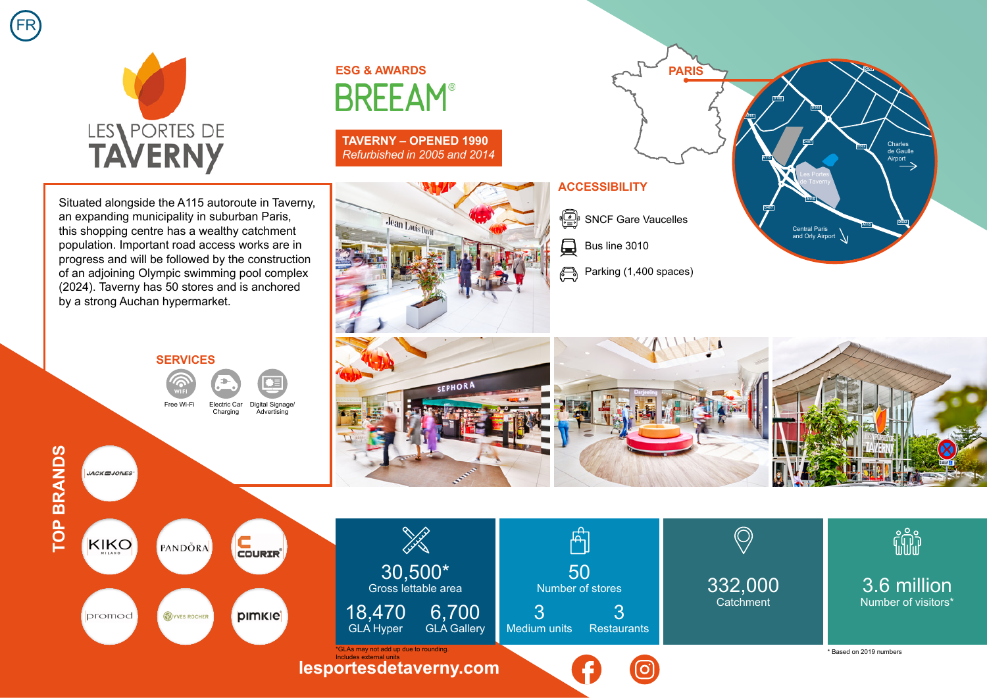



## **ESG & AWARDS BREEAM®**

**TAVERNY – OPENED 1990** *Refurbished in 2005 and 2014*

Situated alongside the A115 autoroute in Taverny, an expanding municipality in suburban Paris, this shopping centre has a wealthy catchment population. Important road access works are in progress and will be followed by the construction of an adjoining Olympic swimming pool complex (2024). Taverny has 50 stores and is anchored by a strong Auchan hypermarket.

## **SERVICES** Free Wi-Fi Charging Digital Signage/ Advertising



**JACKEJONES** 

COURIR<sup>®</sup> KIKO PANDÖRA promod



## **ACCESSIBILITY**

 $\begin{pmatrix} \sqrt{\begin{pmatrix} x \\ y \end{pmatrix}} & \text{SNCF} \end{pmatrix}$  Gare Vaucelles

曼 Bus line 3010

Parking (1,400 spaces)



**PARIS**

Central Paris and Orly Airport

de Taverny

**A115**

**D407**

**D502**

**A115**

**D407**

**D106**

**A115**

Charles de Gaulle Airport

**D502**

**A115**

**D502**

**D407**